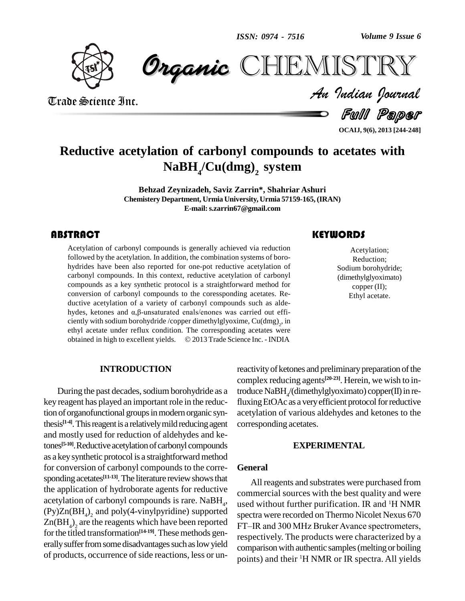*Volume 9 Issue 6*



*Volume 9 Issue 6*<br>ISTRY<br>Indian Iournal **CHEMISTRY** 

Trade Science Inc. Trade Science Inc.

Full Paper

**OCAIJ, 9(6), 2013 [244-248]**

## **Reductive acetylation of carbonyl compounds to acetates with NaBH<sup>4</sup> /Cu(dmg) <sup>2</sup> system**

**Behzad Zeynizadeh, Saviz Zarrin\*, Shahriar Ashuri Chemistery Department, Urmia University, Urmia 57159-165,(IRAN) E-mail:[s.zarrin67@gmail.com](mailto:s.zarrin67@gmail.com)**

### **ABSTRACT**

Acetylation of carbonyl compounds is generally achieved via reduction<br>followed by the acetylation. In addition, the combination systems of boro-<br>hydrides have been also reported for one-pot reductive acetylation of Acetylation of carbonyl compounds is generally achieved via reduction followed by the acetylation. In addition, the combination systems of boro carbonyl compounds. In this context, reductive acetylation of carbonyl compounds as a key synthetic protocol is a straightforward method for conversion of carbonyl compounds to the coressponding acetates. Reductive acetylation of a variety of carbonyl compounds such as aldeconversion of carbonyl compounds to the coressponding acetates. Reductive acetylation of a variety of carbonyl compounds such as alde-<br>hydes, ketones and  $\alpha$ , $\beta$ -unsaturated enals/enones was carried out efficiently with sodium borohydride /copper dimethylglyoxime, Cu(dmg)<sub>2</sub>, in<br>ethyl acetate under reflux condition. The corresponding acetates were<br>obtained in high to excellent yields. © 2013 Trade Science Inc. - INDIA ethyl acetate under reflux condition. The corresponding acetates were

### **KEYWORDS**

Acetylation;<br>Reduction;<br>Sodium borohydride; Acetylation; Reduction; (dimethylglyoximato) copper (II); Ethyl acetate.

#### **INTRODUCTION**

During the past decades, sodium borohydride as a key reagent has played an important role in the reduction of organofunctional groups in modern organic synthesis<sup>[14]</sup>. This reagent is a relatively mild reducing agent co and mostly used for reduction of aldehydes and ketones<sup>[5-10]</sup>. Reductive acetylation of carbonyl compounds as a key synthetic protocol is a straightforward method for conversion of carbonyl compounds to the corre sponding acetates<sup>[11-13]</sup>. The literature review shows that the application of hydroborate agents for reductive acetylation of carbonyl compounds is rare. NaBH<sub>4</sub>,  $(Py)Zn(BH<sub>4</sub>)<sub>2</sub>$  and poly(4-vinylpyridine) supported spectra  $Zn(BH_4)$ <sub>2</sub> are the reagents which have been reported  $\overrightarrow{FT-IR}$ for the titled transformation<sup>[14-19]</sup>. These methods generally suffer from some disadvantages such as low yield of products, occurrence of side reactions, less or un-

reactivity of ketones and preliminary preparation of the complex reducing agents **[20-23]**. Herein, we wish to introduce NaBH<sub>4</sub>/(dimethylglyoximato) copper(II) in refluxing EtOAc as a very efficient protocol for reductive acetylation of various aldehydes and ketones to the corresponding acetates.

#### **EXPERIMENTAL**

#### **General**

 $\cdot$  used without further purification. IR and  $\cdot$ H NMR All reagents and substrates were purchased from commercial sources with the best quality and were spectra were recorded on Thermo Nicolet Nexus 670 FT-IR and 300 MHz Bruker Avance spectrometers, respectively. The products were characterized by a comparison with authentic samples (melting or boiling points) and their <sup>1</sup>H NMR or IR spectra. All yields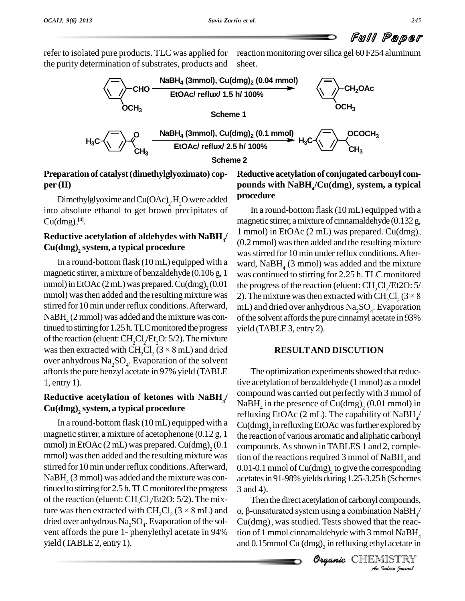# Full Paper

refer to isolated pure products. TLC was applied for the purity determination of substrates, products and reaction monitoring over silica gel 60 F254 aluminum sheet.



## **Preparation of catalyst(dimethylglyoximato) cop per (II)**

Dimethylglyoxime and  $Cu(OAc)<sub>2</sub>$ .H<sub>2</sub>O were added **Process** into absolute ethanol to get brown precipitates of  $Cu(dmg)<sub>2</sub><sup>[4]</sup>.$ 

## **Reductive acetylation of aldehydes with NaBH<sup>4</sup> Cu(dmg) <sup>2</sup> system, a typical procedure**

In a round-bottom flask(10 mL) equipped with a magnetic stirrer, amixture of benzaldehyde (0.106 g, 1 mmol) in EtOAc  $(2 \text{ mL})$  was prepared. Cu(dmg),  $(0.01)$ mmol) was then added and the resulting mixture was 2). The mixture was then extracted with  $\text{CH}_{2}^{\bullet}Cl_{2}$  (3 × 8) stirred for 10 min under reflux conditions.Afterward,  $NaBH_{4}$  (2 mmol) was added and the mixture was continued to stirring for 1.25 h. TLC monitored the progress of the reaction (eluent:  $\text{CH}_{2}\text{Cl}_{2}\text{/}\text{Et}_{2}\text{O}$ : 5/2). The mixture was then extracted with CH<sub>2</sub>Cl<sub>2</sub> ( $3 \times 8$  mL) and dried over anhydrous  $\rm Na_{2}SO_{4}$ . Evaporation of the solvent affords the pure benzyl acetate in 97% yield (TABLE 1, entry 1).

## **Reductive acetylation of ketones with NaBH<sup>4</sup> Cu(dmg) <sup>2</sup> system, a typical procedure**

In a round-bottom flask(10 mL) equipped with a magnetic stirrer, a mixture of acetophenone (0.12 g, 1 mmol) in EtOAc  $(2 \text{ mL})$  was prepared. Cu(dmg),  $(0.1)$ mmol) wasthen added and the resulting mixture was stirred for 10 min under reflux conditions.Afterward,  $NaBH<sub>4</sub>$  (3 mmol) was added and the mixture was continued to stirring for 2.5 h. TLC monitored the progress of the reaction (eluent:  $CH_2Cl_2/Et2O: 5/2$ ). The mixtinued to stirring for 2.5 h. TLC monitored the progress 3 and 4 of the reaction (eluent: CH<sub>2</sub>Cl<sub>2</sub>/Et2O: 5/2). The mix-<br>ture was then extracted with CH<sub>2</sub>Cl<sub>2</sub> (3 × 8 mL) and  $\alpha$ ,  $\beta$ -un dried over anhydrous  $\text{Na}_2\text{SO}_4$ . Evaporation of the sol- Cu( vent affords the pure 1- phenylethyl acetate in 94% yield (TABLE 2, entry 1).

## **Reductive acetylation of conjugated carbonyl com pounds with NaBH<sup>4</sup> /Cu(dmg) <sup>2</sup> system, a typical procedure**

 $\mu$  1 mmol) in EtOAc (2 mL) was prepared. Cu(dmg)<sub>2</sub>  $_2$  (0.01 the progress of the reaction (eluent: CH<sub>2</sub>Cl<sub>2</sub>/Et2O: 5/ In a round-bottom flask (10 mL) equipped with a magnetic stirrer, amixture of cinnamaldehyde (0.132 g, 2 (0.2 mmol) wasthen added and the resulting mixture was stirred for 10 min under reflux conditions. Afterward,  $N$ a $BH$ <sub>4</sub> (3 mmol) was added and the mixture was continued to stirring for 2.25 h. TLC monitored<br>the progress of the reaction (eluent:  $CH_2Cl_2/Et2O: 5/$ <br>2). The mixture was then extracted with  $CH_2Cl_2 (3 \times 8)$ mL) and dried over anhydrous  $\text{Na}_2\text{SO}_4$ . Evaporation of the solvent affords the pure cinnamyl acetate in 93% yield (TABLE 3, entry 2).

### **RESULTAND DISCUTION**

 $\mu$  compound was carried out perfectly with 3 mmol of  $_2$  (0.1 compounds. As shown in TABLES 1 and 2, comple-The optimization experiments showed that reductive acetylation of benzaldehyde (1 mmol) as a model NaBH<sub>4</sub> in the presence of Cu(dmg)<sub>2</sub> (0.01 mmol) in refluxing EtOAc (2 mL). The capability of  $\mathrm{NaBH}_{4^{'}}$  $Cu(dmg)<sub>2</sub>$  in refluxing EtOAc was further explored by the reaction of various aromatic and aliphatic carbonyl tion of the reactions required 3 mmol of  $N$ aBH<sub>4</sub> and 0.01-0.1 mmol of  $Cu(dmg)_{2}$  to give the corresponding acetates in 91-98% yields during 1.25-3.25 h (Schemes 3 and 4).

**Orients** 3 and 4).<br>Then the direct acetylation of carbonyl compounds, *I*<br>*Ion NaBH<sub>4</sub>*<br>*I* at the reac-<br>*Indian fournal*<br>*Indian fournal* and 4).<br>Then the direct acetylation of carbonyl compounds,<br> $\beta$ -unsaturated system using a combination NaBH<sub>4</sub>/  $Cu(dmg)<sub>2</sub>$  was studied. Tests showed that the reaction of 1 mmol cinnamaldehyde with 3 mmol NaBH<sub>4</sub> and  $0.15$ mmol Cu  $\left(\text{dmg}\right)_2$  in refluxing ethyl acetate in

**CHEMISTRY**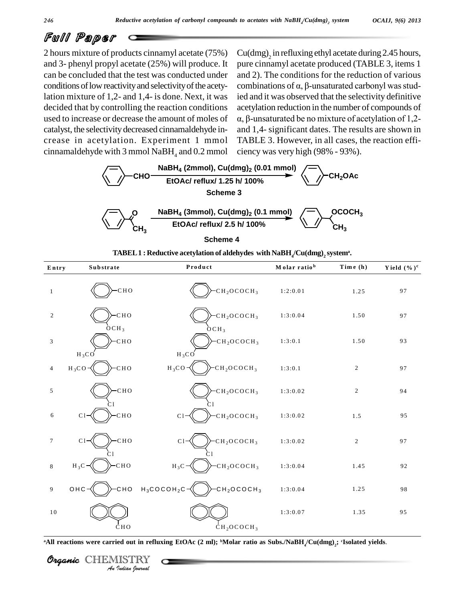## Full Paper

2 hours mixture of products cinnamyl acetate (75%) and 3- phenyl propyl acetate (25%) will produce. It can be concluded that the test was conducted under conditions of low reactivity and selectivity of the acetylation mixture of 1,2- and 1,4- is done. Next, it was decided that by controlling the reaction conditions used to increase or decrease the amount of moles of  $\alpha$ ,  $\beta$ -unsaturated be no mixture of acetylation of 1,2catalyst, the selectivitydecreased cinnamaldehyde in crease in acetylation. Experiment 1 mmol cinnamaldehyde with 3 mmol NaBH $_4$  and 0.2 mmol

 $Cu(dmg)$ <sub>2</sub> in refluxing ethyl acetate during 2.45 hours, pure cinnamyl acetate produced (TABLE 3, items 1 and 2). The conditions for the reduction of various pure cinnamyl acetate produced (TABLE 3, items 1<br>and 2). The conditions for the reduction of various<br>combinations of  $\alpha$ ,  $\beta$ -unsaturated carbonyl was studied and it was observed that the selectivity definitive acetylation reduction in the number of compounds of order that the selectivity definitive<br>etylation reduction in the number of compounds of<br>β-unsaturated be no mixture of acetylation of 1.2and 1,4- significant dates. The results are shown in TABLE 3. However, in all cases, the reaction effi ciency was very high (98% - 93%).



**Scheme 4**

| Entry                                     | Substrate                     | Product                                                                                                                                                 | Molar ratio <sup>b</sup> | Time (h)                | Yield $(\%)^c$ |  |  |  |
|-------------------------------------------|-------------------------------|---------------------------------------------------------------------------------------------------------------------------------------------------------|--------------------------|-------------------------|----------------|--|--|--|
| $\mathbf{1}$                              | CHO                           | CH <sub>2</sub> OCOCH <sub>3</sub>                                                                                                                      | 1:2:0.01                 | 1.25                    | 97             |  |  |  |
| $\overline{c}$                            | $-CHO$<br>6CH <sub>3</sub>    | $-CH2OCOCH3$                                                                                                                                            | 1:3:0.04                 | 1.50                    | 97             |  |  |  |
| $\ensuremath{\mathfrak{Z}}$               | CHO<br>$H_3CO$                | OCH <sub>3</sub><br>CH <sub>2</sub> OCOCH <sub>3</sub><br>$H_3CO$                                                                                       | 1:3:0.1                  | 1.50                    | 93             |  |  |  |
| 4                                         | CHO<br>$H_3CO$                | CH <sub>2</sub> OCOCH <sub>3</sub><br>$H_3CO$ -                                                                                                         | 1:3:0.1                  | $\overline{c}$          | 97             |  |  |  |
| 5                                         | CHO                           | CH <sub>2</sub> OCOCH <sub>3</sub>                                                                                                                      | 1:3:0.02                 | $\overline{\mathbf{c}}$ | 94             |  |  |  |
| 6                                         | CHO<br>$\mathbb{C}\mathbb{1}$ | CH <sub>2</sub> OCOCH <sub>3</sub><br>C1                                                                                                                | 1:3:0.02                 | $1\,.5$                 | 95             |  |  |  |
| $\tau$                                    | CHO<br>C1                     | $-CH2OCOCH3$<br>C1                                                                                                                                      | 1:3:0.02                 | $\overline{c}$          | 97             |  |  |  |
| 8                                         | CHO<br>$H_3C$                 | CH <sub>2</sub> OCOCH <sub>3</sub><br>$H_3C$                                                                                                            | 1:3:0.04                 | 1.45                    | 92             |  |  |  |
| 9                                         | CHO<br>OHC                    | $H_3COCOH_2C$<br>CH <sub>2</sub> OCOCH <sub>3</sub>                                                                                                     | 1:3:0.04                 | 1.25                    | 98             |  |  |  |
| $10\,$                                    |                               |                                                                                                                                                         | 1:3:0.07                 | 1.35                    | 95             |  |  |  |
|                                           | <b>CHO</b>                    | CH <sub>2</sub> OCOCH <sub>3</sub>                                                                                                                      |                          |                         |                |  |  |  |
|                                           |                               | All reactions were carried out in refluxing EtOAc (2 ml); <sup>b</sup> Molar ratio as Subs./NaBH <sub>4</sub> /Cu(dmg) <sub>2</sub> ; 'Isolated yields. |                          |                         |                |  |  |  |
| Organic<br>CHEMISTRY<br>An Indian Nournal |                               |                                                                                                                                                         |                          |                         |                |  |  |  |

**TABEL1 : Reductive acetylation of aldehydes with NaBH<sup>4</sup> /Cu(dmg) <sup>2</sup> system<sup>a</sup> .**

Organic CHEMISTRY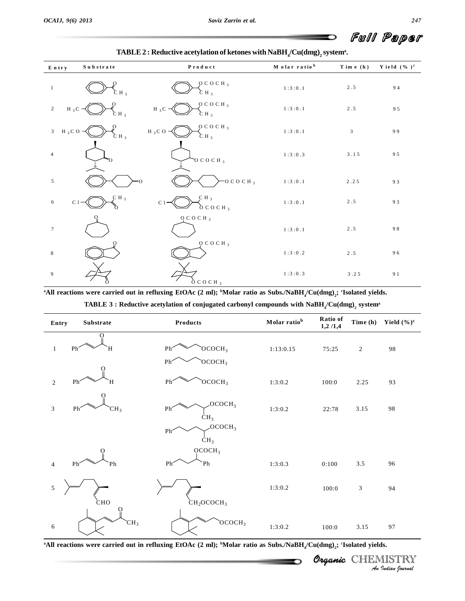O

| Entry                          | Substrate                    | ${\bf P}$ r o d ${\bf u}$ c t                       | M olar ratio <sup>b</sup>                | Time $(h)$     | Yield $(\% )^c$ |
|--------------------------------|------------------------------|-----------------------------------------------------|------------------------------------------|----------------|-----------------|
| $\mathbf{1}$                   | $CH_3$                       | $O$ C O C H $_3$<br>$CH_3$                          | $1\,\colon\!3\,\colon\!0\,\,,1$          | $2.5$          | 94              |
| $\overline{2}$<br>H $_3$ C     | $\rm \mathop{C}$ Н $_3$      | OCOCH <sub>3</sub><br>H $_3$ C $-$<br>$\sum H_3$    | $1:3:0.1$                                | $2\,.5$        | 95              |
| H $_3$ C O -<br>$\mathfrak{Z}$ | $CH_3$                       | OCOCH <sub>3</sub><br>$H_3C_0$ -<br>CH <sub>3</sub> | $1\,\colon\! 3\,\colon\! 0\,\colon\! 1$  | $\overline{3}$ | 99              |
| $\overline{4}$                 | 'n                           | $\overline{O}$ C O C H $_3$                         | 1:3:0.3                                  | $3.15$         | 95              |
| 5                              |                              | $-0$ C O C H $_3$                                   | $1\,\colon\!3\,\colon\!0\,\colon\!1$     | $2\ .2\ 5$     | 93              |
| 6<br>C1                        | $\mathcal{L}$ H <sub>3</sub> | $C H_3$<br>$C1$ -<br>$\delta$ C O C H <sub>3</sub>  | $1:3:0.1$                                | $2\,.5$        | 93              |
| $\overline{7}$                 |                              | $O$ COCH <sub>3</sub>                               | 1:3:0.1                                  | $2.5$          | 98              |
| $\,8\,$                        |                              | $Q$ C O C H $_3$                                    | $1:3:0.2$                                | $2\;.5$        | 96              |
| 9                              |                              | $\delta$ C O C H <sub>3</sub>                       | $1\,\colon\!3\,\colon\!0\,\:\!\ldotp\!3$ | $3\,.2\,5$     | 91              |

<sup>a</sup>All reactions were carried out in refluxing EtOAc (2 ml); <sup>b</sup>Molar ratio as Subs./NaBH<sub>4</sub>/Cu(dmg)<sub>2</sub>; <sup>c</sup>Isolated yields. **TABLE 3 : Reductive acetylation of conjugated carbonyl compounds with NaBH<sup>4</sup> /Cu(dmg) <sup>2</sup> system<sup>a</sup>**

| Substrate<br>Entry                      | Products                                                                                                                                                                         | Molar ratio <sup>b</sup> | Ratio of<br>1,2/1,4 | Time (h)         | Yield $(\%)^c$          |
|-----------------------------------------|----------------------------------------------------------------------------------------------------------------------------------------------------------------------------------|--------------------------|---------------------|------------------|-------------------------|
| Ph <sup>-</sup><br>$\mathbf{1}$<br>Н    | OCOCH <sub>3</sub><br>Ph <sup>-</sup>                                                                                                                                            | 1:13:0.15                | 75:25               | $\boldsymbol{2}$ | $\bf 98$                |
|                                         | OCOCH <sub>3</sub><br>Ph <sup>2</sup>                                                                                                                                            |                          |                     |                  |                         |
| Ph <sup>-</sup><br>$\sqrt{2}$<br>н      | OCOCH <sub>3</sub><br>Ph <sup>2</sup>                                                                                                                                            | 1:3:0.2                  | 100:0               | 2.25             | 93                      |
| 3<br>Ph <sup>-</sup><br>CH <sub>3</sub> | OCOCH <sub>3</sub><br>Ph <sup>-</sup><br>CH <sub>3</sub>                                                                                                                         | 1:3:0.2                  | 22:78               | 3.15             | 98                      |
|                                         | OCOCH <sub>3</sub><br>Ph <sup>-</sup><br>CH <sub>3</sub>                                                                                                                         |                          |                     |                  |                         |
| Ph <sup>-</sup><br>$\overline{4}$<br>Ph | OCOCH <sub>3</sub><br>Ph <sup>2</sup><br>Ph                                                                                                                                      | 1:3:0.3                  | 0:100               | $3.5\,$          | 96                      |
| 5<br>сно                                |                                                                                                                                                                                  | 1:3:0.2                  | 100:0               | 3                | 94                      |
| CH <sub>3</sub><br>$\sqrt{6}$           | $\rm \grave{c}H_{2}OCOCH_{3}$<br>OCOCH <sub>3</sub>                                                                                                                              | 1:3:0.2                  | 100:0               | 3.15             | 97                      |
|                                         | <sup>a</sup> All reactions were carried out in refluxing EtOAc (2 ml); <sup>b</sup> Molar ratio as Subs./NaBH <sub>4</sub> /Cu(dmg) <sub>2</sub> ; <sup>c</sup> Isolated yields. |                          |                     |                  |                         |
|                                         |                                                                                                                                                                                  |                          | Organic (           |                  | RY<br>An Indian Nournal |

**CHEMISTRY**